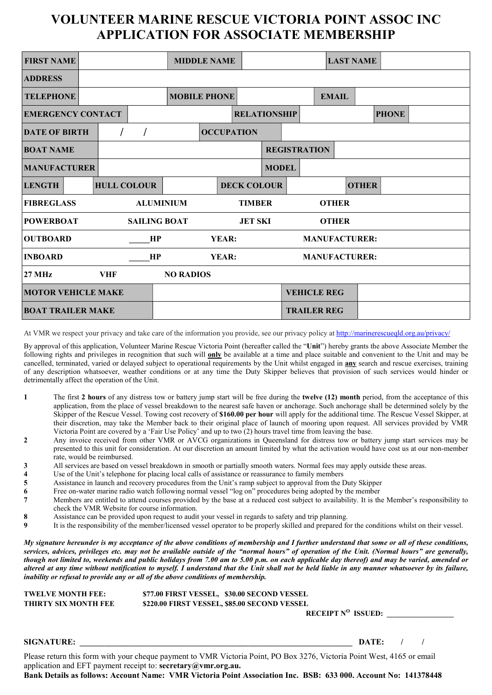#### VOLUNTEER MARINE RESCUE VICTORIA POINT ASSOC INC APPLICATION FOR ASSOCIATE MEMBERSHIP

| <b>FIRST NAME</b>                                                         |  |                    |  | <b>MIDDLE NAME</b>  |                     |              |                     |                      | <b>LAST NAME</b> |              |              |  |
|---------------------------------------------------------------------------|--|--------------------|--|---------------------|---------------------|--------------|---------------------|----------------------|------------------|--------------|--------------|--|
| <b>ADDRESS</b>                                                            |  |                    |  |                     |                     |              |                     |                      |                  |              |              |  |
| <b>TELEPHONE</b>                                                          |  |                    |  | <b>MOBILE PHONE</b> |                     |              |                     |                      | <b>EMAIL</b>     |              |              |  |
| <b>EMERGENCY CONTACT</b>                                                  |  |                    |  |                     | <b>RELATIONSHIP</b> |              |                     |                      |                  |              | <b>PHONE</b> |  |
| <b>DATE OF BIRTH</b>                                                      |  |                    |  | <b>OCCUPATION</b>   |                     |              |                     |                      |                  |              |              |  |
| <b>BOAT NAME</b>                                                          |  |                    |  |                     |                     |              | <b>REGISTRATION</b> |                      |                  |              |              |  |
| <b>MANUFACTURER</b>                                                       |  |                    |  |                     |                     | <b>MODEL</b> |                     |                      |                  |              |              |  |
| <b>LENGTH</b>                                                             |  | <b>HULL COLOUR</b> |  |                     | <b>DECK COLOUR</b>  |              |                     |                      |                  | <b>OTHER</b> |              |  |
| <b>ALUMINIUM</b><br><b>FIBREGLASS</b><br><b>TIMBER</b><br><b>OTHER</b>    |  |                    |  |                     |                     |              |                     |                      |                  |              |              |  |
| <b>POWERBOAT</b><br><b>SAILING BOAT</b><br><b>JET SKI</b><br><b>OTHER</b> |  |                    |  |                     |                     |              |                     |                      |                  |              |              |  |
| <b>OUTBOARD</b><br>HP<br><b>YEAR:</b><br><b>MANUFACTURER:</b>             |  |                    |  |                     |                     |              |                     |                      |                  |              |              |  |
| <b>INBOARD</b>                                                            |  | HP                 |  | YEAR:               |                     |              |                     | <b>MANUFACTURER:</b> |                  |              |              |  |
| <b>VHF</b><br><b>NO RADIOS</b><br><b>27 MHz</b>                           |  |                    |  |                     |                     |              |                     |                      |                  |              |              |  |
| <b>MOTOR VEHICLE MAKE</b>                                                 |  |                    |  |                     |                     |              |                     | <b>VEHICLE REG</b>   |                  |              |              |  |
| <b>BOAT TRAILER MAKE</b>                                                  |  |                    |  |                     |                     |              |                     | <b>TRAILER REG</b>   |                  |              |              |  |

At VMR we respect your privacy and take care of the information you provide, see our privacy policy at http://marinerescueqld.org.au/privacy/

By approval of this application, Volunteer Marine Rescue Victoria Point (hereafter called the "Unit") hereby grants the above Associate Member the following rights and privileges in recognition that such will **only** be available at a time and place suitable and convenient to the Unit and may be cancelled, terminated, varied or delayed subject to operational requirements by the Unit whilst engaged in **any** search and rescue exercises, training of any description whatsoever, weather conditions or at any time the Duty Skipper believes that provision of such services would hinder or detrimentally affect the operation of the Unit.

- 1 The first 2 hours of any distress tow or battery jump start will be free during the twelve (12) month period, from the acceptance of this application, from the place of vessel breakdown to the nearest safe haven or anchorage. Such anchorage shall be determined solely by the Skipper of the Rescue Vessel. Towing cost recovery of \$160.00 per hour will apply for the additional time. The Rescue Vessel Skipper, at their discretion, may take the Member back to their original place of launch of mooring upon request. All services provided by VMR Victoria Point are covered by a 'Fair Use Policy' and up to two (2) hours travel time from leaving the base.
- 2 Any invoice received from other VMR or AVCG organizations in Queensland for distress tow or battery jump start services may be presented to this unit for consideration. At our discretion an amount limited by what the activation would have cost us at our non-member rate, would be reimbursed.
- 3 All services are based on vessel breakdown in smooth or partially smooth waters. Normal fees may apply outside these areas.<br>4 Use of the Unit's telephone for placing local calls of assistance or reassurance to family mem
- 
- 4 Use of the Unit's telephone for placing local calls of assistance or reassurance to family members<br>5 Assistance in launch and recovery procedures from the Unit's ramp subject to approval from the L 5 Assistance in launch and recovery procedures from the Unit's ramp subject to approval from the Duty Skipper<br>6 Free on-water marine radio watch following normal vessel "log on" procedures being adopted by the member
- Free on-water marine radio watch following normal vessel "log on" procedures being adopted by the member
- 7 Members are entitled to attend courses provided by the base at a reduced cost subject to availability. It is the Member's responsibility to check the VMR Website for course information.
- 

inability or refusal to provide any or all of the above conditions of membership.

8 Assistance can be provided upon request to audit your vessel in regards to safety and trip planning.<br>9 It is the responsibility of the member/licensed vessel operator to be properly skilled and prepared for 9 It is the responsibility of the member/licensed vessel operator to be properly skilled and prepared for the conditions whilst on their vessel.

My signature hereunder is my acceptance of the above conditions of membership and I further understand that some or all of these conditions, services, advices, privileges etc. may not be available outside of the "normal hours" of operation of the Unit. (Normal hours" are generally, though not limited to, weekends and public holidays from 7.00 am to 5.00 p.m. on each applicable day thereof) and may be varied, amended or altered at any time without notification to myself. I understand that the Unit shall not be held liable in any manner whatsoever by its failure,

| <b>TWELVE MONTH FEE:</b>    | \$77.00 FIRST VESSEL, \$30.00 SECOND VESSEL  |
|-----------------------------|----------------------------------------------|
| <b>THIRTY SIX MONTH FEE</b> | \$220.00 FIRST VESSEL, \$85.00 SECOND VESSEL |
|                             | RECEIPT $N^O$ ISSUED:                        |

SIGNATURE: THE SURVEY OF SERVER AND SERVER ASSESSED. THE SERVER AND LOSS OF SERVER AND LOSS OF SERVER AND LOSS OF SERVER AND LOSS OF SERVER AND LOSS OF SERVER AND LOSS OF SERVER AND LOSS OF SERVER AND LOSS OF SERVER AND LO

Please return this form with your cheque payment to VMR Victoria Point, PO Box 3276, Victoria Point West, 4165 or email application and EFT payment receipt to: secretary@vmr.org.au. Bank Details as follows: Account Name: VMR Victoria Point Association Inc. BSB: 633 000. Account No: 141378448